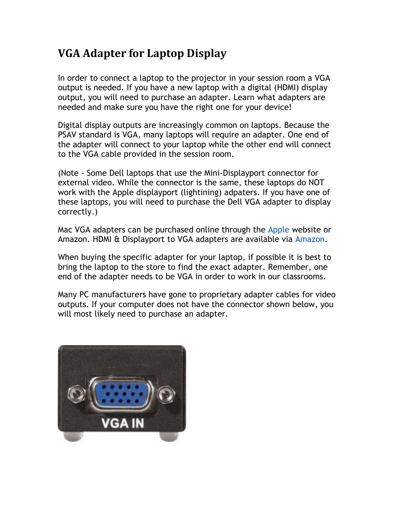## **VGA Adapter for Laptop Display**

In order to connect a laptop to the projector in your session room a VGA output is needed. If you have a new laptop with a digital (HDMI) display output, you will need to purchase an adapter. Learn what adapters are needed and make sure you have the right one for your device!

Digital display outputs are increasingly common on laptops. Because the PSAV standard is VGA, many laptops will require an adapter. One end of the adapter will connect to your laptop while the other end will connect to the VGA cable provided in the session room.

(Note - Some Dell laptops that use the Mini-Displayport connector for external video. While the connector is the same, these laptops do NOT work with the Apple displayport (lightining) adpaters. If you have one of these laptops, you will need to purchase the Dell VGA adapter to display correctly.)

Mac VGA adapters can be purchased online through the [Apple](http://store.apple.com/us/browse/home/shop_mac/mac_accessories/displays?mco=MTM3NjUwNzg) website or Amazon. HDMI & Displayport to VGA adapters are available via [Amazon.](http://www.amazon.com/)

When buying the specific adapter for your laptop, if possible it is best to bring the laptop to the store to find the exact adapter. Remember, one end of the adapter needs to be VGA in order to work in our classrooms.

Many PC manufacturers have gone to proprietary adapter cables for video outputs. If your computer does not have the connector shown below, you will most likely need to purchase an adapter.

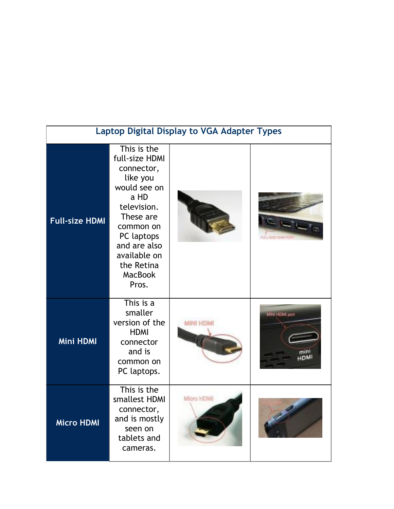| <b>Laptop Digital Display to VGA Adapter Types</b> |                                                                                                                                                                                                                 |                  |               |  |  |
|----------------------------------------------------|-----------------------------------------------------------------------------------------------------------------------------------------------------------------------------------------------------------------|------------------|---------------|--|--|
| <b>Full-size HDMI</b>                              | This is the<br>full-size HDMI<br>connector,<br>like you<br>would see on<br>a HD<br>television.<br>These are<br>common on<br>PC laptops<br>and are also<br>available on<br>the Retina<br><b>MacBook</b><br>Pros. |                  |               |  |  |
| <b>Mini HDMI</b>                                   | This is a<br>smaller<br>version of the<br><b>HDMI</b><br>connector<br>and is<br>common on<br>PC laptops.                                                                                                        | <b>MINI HDMI</b> | MINTHONI port |  |  |
| <b>Micro HDMI</b>                                  | This is the<br>smallest HDMI<br>connector,<br>and is mostly<br>seen on<br>tablets and<br>cameras.                                                                                                               | Micro HDMI       |               |  |  |